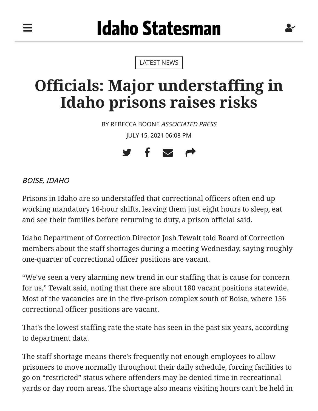[LATEST NEWS](https://www.idahostatesman.com/latest-news)

## **Officials: Major understaffing in Idaho prisons raises risks**

BY REBECCA BOONE ASSOCIATED PRESS JULY 15, 2021 06:08 PM



BOISE, IDAHO

═

Prisons in Idaho are so understaffed that correctional officers often end up working mandatory 16-hour shifts, leaving them just eight hours to sleep, eat and see their families before returning to duty, a prison official said.

Idaho Department of Correction Director Josh Tewalt told Board of Correction members about the staff shortages during a meeting Wednesday, saying roughly one-quarter of correctional officer positions are vacant.

"We've seen a very alarming new trend in our staffing that is cause for concern for us," Tewalt said, noting that there are about 180 vacant positions statewide. Most of the vacancies are in the five-prison complex south of Boise, where 156 correctional officer positions are vacant.

That's the lowest staffing rate the state has seen in the past six years, according to department data.

The staff shortage means there's frequently not enough employees to allow prisoners to move normally throughout their daily schedule, forcing facilities to go on "restricted" status where offenders may be denied time in recreational yards or day room areas. The shortage also means visiting hours can't be held in